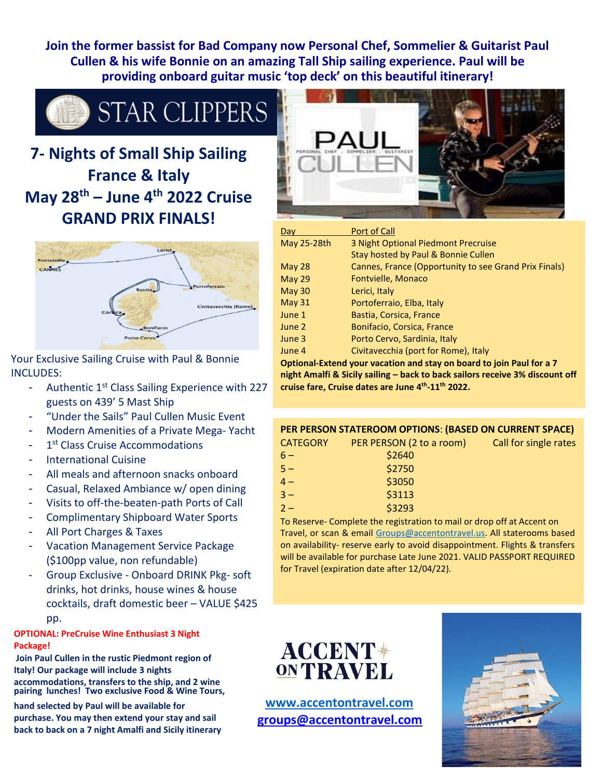**Join the former bassist for Bad Company now Personal Chef, Sommelier & Guitarist Paul Cullen & his wife Bonnie on an amazing Tall Ship sailing experience. Paul will be providing onboard guitar music 'top deck' on this beautiful itinerary!**



# **7- Nights of Small Ship Sailing France & Italy May 28th – June 4th 2022 Cruise GRAND PRIX FINALS!**



Your Exclusive Sailing Cruise with Paul & Bonnie INCLUDES:

- Authentic 1<sup>st</sup> Class Sailing Experience with 227 guests on 439' 5 Mast Ship
- "Under the Sails" Paul Cullen Music Event
- Modern Amenities of a Private Mega- Yacht
- 1<sup>st</sup> Class Cruise Accommodations
- International Cuisine
- All meals and afternoon snacks onboard
- Casual, Relaxed Ambiance w/ open dining
- Visits to off-the-beaten-path Ports of Call
- Complimentary Shipboard Water Sports
- All Port Charges & Taxes
- Vacation Management Service Package (\$100pp value, non refundable)
- Group Exclusive Onboard DRINK Pkg- soft drinks, hot drinks, house wines & house cocktails, draft domestic beer – VALUE \$425 pp.

#### **OPTIONAL: PreCruise Wine Enthusiast 3 Night Package!**

**Join Paul Cullen in the rustic Piedmont region of Italy! Our package will include 3 nights accommodations, transfers to the ship, and 2 wine pairing lunches! Two exclusive Food & Wine Tours,**

**hand selected by Paul will be available for purchase. You may then extend your stay and sail back to back on a 7 night Amalfi and Sicily itinerary**



| Dav           | Port of Call                                          |
|---------------|-------------------------------------------------------|
| May 25-28th   | 3 Night Optional Piedmont Precruise                   |
|               | Stay hosted by Paul & Bonnie Cullen                   |
| May $28$      | Cannes, France (Opportunity to see Grand Prix Finals) |
| <b>May 29</b> | Fontvielle, Monaco                                    |
| <b>May 30</b> | Lerici, Italy                                         |
| May $31$      | Portoferraio, Elba, Italy                             |
| June 1        | Bastia, Corsica, France                               |
| June 2        | Bonifacio, Corsica, France                            |
| June 3        | Porto Cervo, Sardinia, Italy                          |
| June 4        | Civitavecchia (port for Rome), Italy                  |

**Optional-Extend your vacation and stay on board to join Paul for a 7 night Amalfi & Sicily sailing – back to back sailors receive 3% discount off cruise fare, Cruise dates are June 4th -11th 2022.**

#### **PER PERSON STATEROOM OPTIONS**: **(BASED ON CURRENT SPACE)**

| <b>CATEGORY</b> | PER PERSON (2 to a room) |
|-----------------|--------------------------|
| $6-$            | \$2640                   |
| $5 -$           | \$2750                   |
| $4-$            | \$3050                   |
| $3 -$           | \$3113                   |
| $2-$            | \$3293                   |
|                 |                          |

To Reserve- Complete the registration to mail or drop off at Accent on Travel, or scan & email [Groups@accentontravel.us. A](mailto:Groups@accentontravel.us)ll staterooms based on availability- reserve early to avoid disappointment. Flights & transfers will be available for purchase Late June 2021. VALID PASSPORT REQUIRED for Travel (expiration date after 12/04/22).



**[www.accentontravel.com](http://www.accentontravel.com/) [groups@accentontravel.com](mailto:groups@accentontravel.com)**



Call for single rates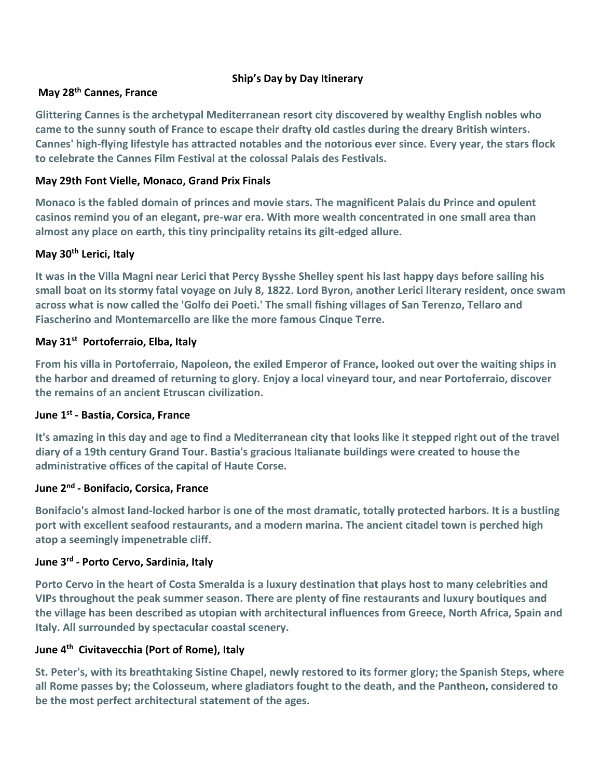# **Ship's Day by Day Itinerary**

### **May 28th Cannes, France**

**Glittering Cannes is the archetypal Mediterranean resort city discovered by wealthy English nobles who came to the sunny south of France to escape their drafty old castles during the dreary British winters. Cannes' high-flying lifestyle has attracted notables and the notorious ever since. Every year, the stars flock to celebrate the Cannes Film Festival at the colossal Palais des Festivals.**

# **May 29th Font Vielle, Monaco, Grand Prix Finals**

**Monaco is the fabled domain of princes and movie stars. The magnificent Palais du Prince and opulent casinos remind you of an elegant, pre-war era. With more wealth concentrated in one small area than almost any place on earth, this tiny principality retains its gilt-edged allure.**

# **May 30th Lerici, Italy**

**It was in the Villa Magni near Lerici that Percy Bysshe Shelley spent his last happy days before sailing his small boat on its stormy fatal voyage on July 8, 1822. Lord Byron, another Lerici literary resident, once swam across what is now called the 'Golfo dei Poeti.' The small fishing villages of San Terenzo, Tellaro and Fiascherino and Montemarcello are like the more famous Cinque Terre.**

# **May 31st Portoferraio, Elba, Italy**

**From his villa in Portoferraio, Napoleon, the exiled Emperor of France, looked out over the waiting ships in the harbor and dreamed of returning to glory. Enjoy a local vineyard tour, and near Portoferraio, discover the remains of an ancient Etruscan civilization.**

### **June 1 st - Bastia, Corsica, France**

**It's amazing in this day and age to find a Mediterranean city that looks like it stepped right out of the travel diary of a 19th century Grand Tour. Bastia's gracious Italianate buildings were created to house the administrative offices of the capital of Haute Corse.**

# **June 2 nd - Bonifacio, Corsica, France**

**Bonifacio's almost land-locked harbor is one of the most dramatic, totally protected harbors. It is a bustling port with excellent seafood restaurants, and a modern marina. The ancient citadel town is perched high atop a seemingly impenetrable cliff.**

#### **June 3 rd - Porto Cervo, Sardinia, Italy**

**Porto Cervo in the heart of Costa Smeralda is a luxury destination that plays host to many celebrities and VIPs throughout the peak summer season. There are plenty of fine restaurants and luxury boutiques and the village has been described as utopian with architectural influences from Greece, North Africa, Spain and Italy. All surrounded by spectacular coastal scenery.**

# **June 4 th Civitavecchia (Port of Rome), Italy**

**St. Peter's, with its breathtaking Sistine Chapel, newly restored to its former glory; the Spanish Steps, where all Rome passes by; the Colosseum, where gladiators fought to the death, and the Pantheon, considered to be the most perfect architectural statement of the ages.**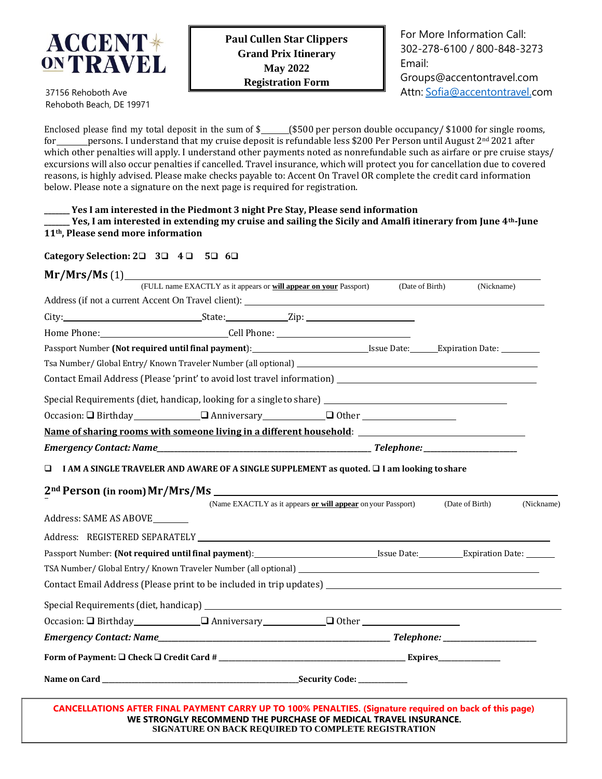

For More Information Call: 302-278-6100 / 800-848-3273 Email: [Groups@accentontravel.com](mailto:Groups@accentontravel.com)

Attn: [Sofia@accentontravel.com](mailto:Sofia@accentontravel.com)

37156 Rehoboth Ave Rehoboth Beach, DE 19971

Enclosed please find my total deposit in the sum of  $\frac{2}{5}$  (\$500 per person double occupancy/ \$1000 for single rooms, for persons. I understand that my cruise deposit is refundable less \$200 Per Person until August 2<sup>nd</sup> 2021 after which other penalties will apply. I understand other payments noted as nonrefundable such as airfare or pre cruise stays/ excursions will also occur penalties if cancelled. Travel insurance, which will protect you for cancellation due to covered reasons, is highly advised. Please make checks payable to: Accent On Travel OR complete the credit card information below. Please note a signature on the next page is required for registration.

**\_\_\_\_\_\_\_ Yes I am interested in the Piedmont 3 night Pre Stay, Please send information**

**\_\_\_\_\_\_\_ Yes, I am interested in extending my cruise and sailing the Sicily and Amalfi itinerary from June 4th-June 11th, Please send more information**

**Category Selection: 2**❑ **3**❑ **4** ❑ **5**❑ **6**❑

| Mr/Mrs/Ms(1)                                                                                      |                                                                                                                                                                            |                                                              |                 |                 |            |
|---------------------------------------------------------------------------------------------------|----------------------------------------------------------------------------------------------------------------------------------------------------------------------------|--------------------------------------------------------------|-----------------|-----------------|------------|
|                                                                                                   | (FULL name EXACTLY as it appears or will appear on your Passport)                                                                                                          |                                                              | (Date of Birth) | (Nickname)      |            |
|                                                                                                   | Address (if not a current Accent On Travel client): Manual Communication of the Address (if not a current Accent On Travel client):                                        |                                                              |                 |                 |            |
|                                                                                                   | City: State: Zip: Zip:                                                                                                                                                     |                                                              |                 |                 |            |
|                                                                                                   |                                                                                                                                                                            |                                                              |                 |                 |            |
| Passport Number (Not required until final payment): Issue Date: Expiration Date: Expiration Date: |                                                                                                                                                                            |                                                              |                 |                 |            |
|                                                                                                   |                                                                                                                                                                            |                                                              |                 |                 |            |
|                                                                                                   |                                                                                                                                                                            |                                                              |                 |                 |            |
|                                                                                                   | Special Requirements (diet, handicap, looking for a single to share) _______________________________                                                                       |                                                              |                 |                 |            |
|                                                                                                   |                                                                                                                                                                            |                                                              |                 |                 |            |
|                                                                                                   | Name of sharing rooms with someone living in a different household: Name of sharing rooms with someone living                                                              |                                                              |                 |                 |            |
|                                                                                                   |                                                                                                                                                                            |                                                              |                 |                 |            |
| o.                                                                                                | I AM A SINGLE TRAVELER AND AWARE OF A SINGLE SUPPLEMENT as quoted. $\Box$ I am looking to share                                                                            |                                                              |                 |                 |            |
|                                                                                                   |                                                                                                                                                                            |                                                              |                 |                 |            |
| 2 <sup>nd</sup> Person (in room) Mr/Mrs/Ms _______                                                |                                                                                                                                                                            | (Name EXACTLY as it appears or will appear on your Passport) |                 | (Date of Birth) | (Nickname) |
| Address: SAME AS ABOVE                                                                            |                                                                                                                                                                            |                                                              |                 |                 |            |
|                                                                                                   |                                                                                                                                                                            |                                                              |                 |                 |            |
|                                                                                                   | Passport Number: (Not required until final payment): Issue Date: Expiration Date: Letter Mumber: Alternative Date:                                                         |                                                              |                 |                 |            |
|                                                                                                   |                                                                                                                                                                            |                                                              |                 |                 |            |
|                                                                                                   | Contact Email Address (Please print to be included in trip updates) ________________________________                                                                       |                                                              |                 |                 |            |
|                                                                                                   |                                                                                                                                                                            |                                                              |                 |                 |            |
|                                                                                                   | Occasion: Q Birthday Q Anniversary Q Other                                                                                                                                 |                                                              |                 |                 |            |
|                                                                                                   |                                                                                                                                                                            |                                                              |                 |                 |            |
|                                                                                                   |                                                                                                                                                                            |                                                              |                 |                 |            |
|                                                                                                   |                                                                                                                                                                            |                                                              |                 |                 |            |
|                                                                                                   | CANCELLATIONS AFTER FINAL PAYMENT CARRY UP TO 100% PENALTIES. (Signature required on back of this page)<br>WE STRONGLY RECOMMEND THE PURCHASE OF MEDICAL TRAVEL INSURANCE. |                                                              |                 |                 |            |

**SIGNATURE ON BACK REQUIRED TO COMPLETE REGISTRATION**